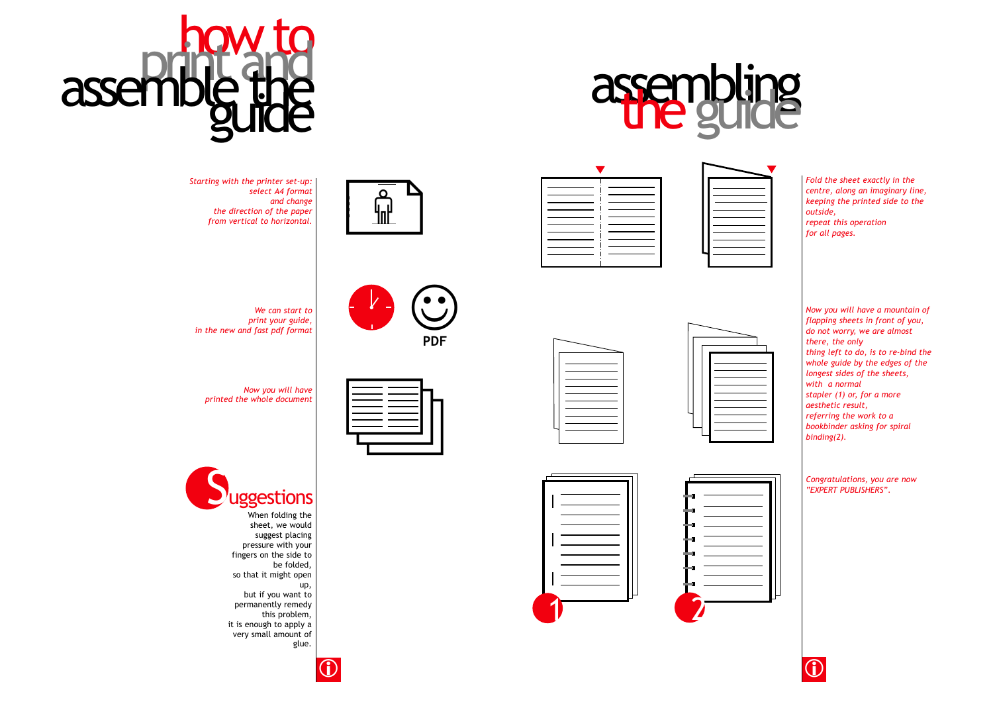

| Fold th<br>centre<br>keepin<br>outside<br>repeat<br>for all |
|-------------------------------------------------------------|

*Fold the sheet exactly in the centre, along an imaginary line, keeping the printed side to the outside, this operation pages.* 







| ________ |           |  |
|----------|-----------|--|
| _______  |           |  |
| _______  |           |  |
| ______   | _________ |  |
|          |           |  |
|          |           |  |
|          |           |  |





















**PDF**



*We can start to print your guide, in the new and fast pdf format*

*Now you will have printed the whole document* 

☺



When folding the sheet, we would suggest placing pressure with your fingers on the side to be folded, so that it might open up, but if you want to permanently remedy this problem, it is enough to apply a very small amount of glue.





*Now you will have a mountain of flapping sheets in front of you, do not worry, we are almost there, the only thing left to do, is to re-bind the whole guide by the edges of the longest sides of the sheets,* 

*with a normal stapler (1) or, for a more aesthetic result, referring the work to a bookbinder asking for spiral binding(2).* 

*Congratulations, you are now "EXPERT PUBLISHERS".*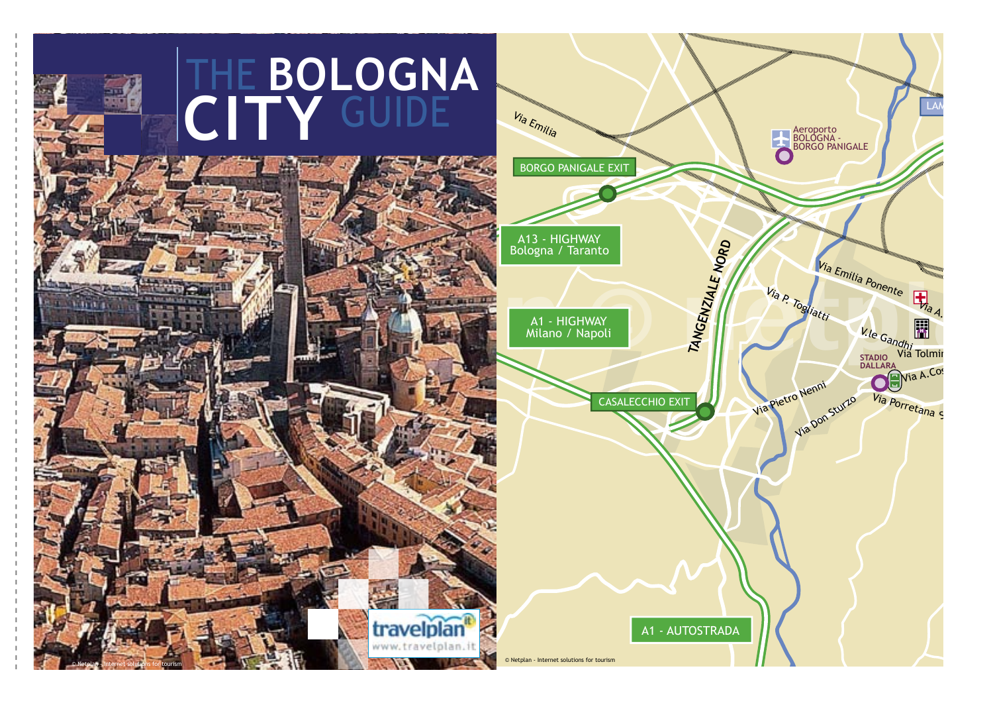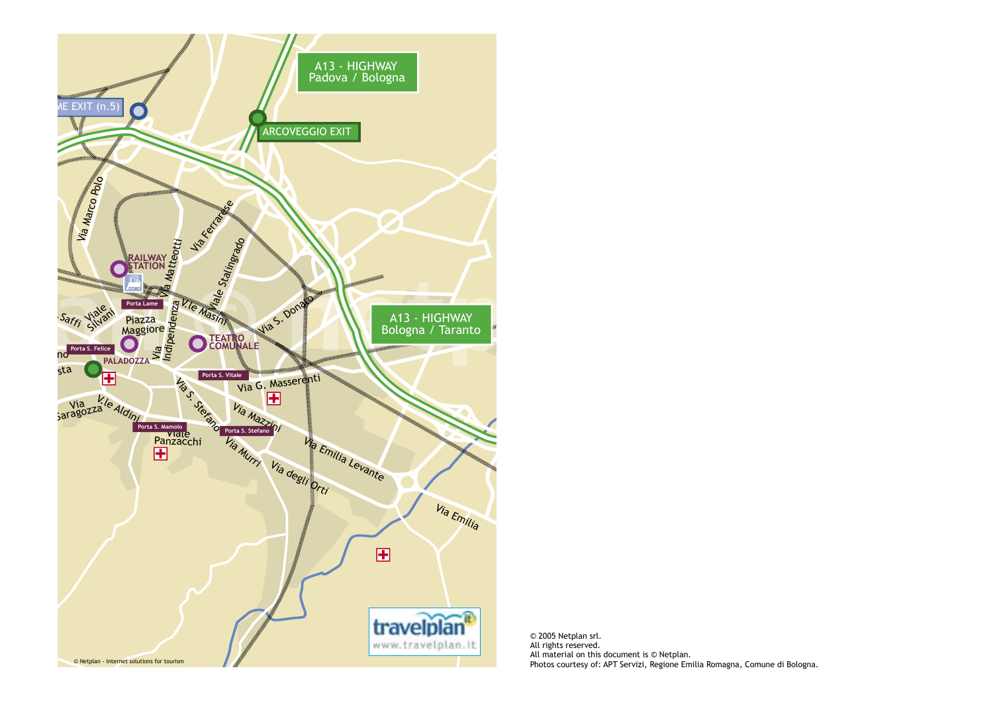

© 2005 Netplan srl. All rights reserved. All material on this document is © Netplan. Photos courtesy of: APT Servizi, Regione Emilia Romagna, Comune di Bologna.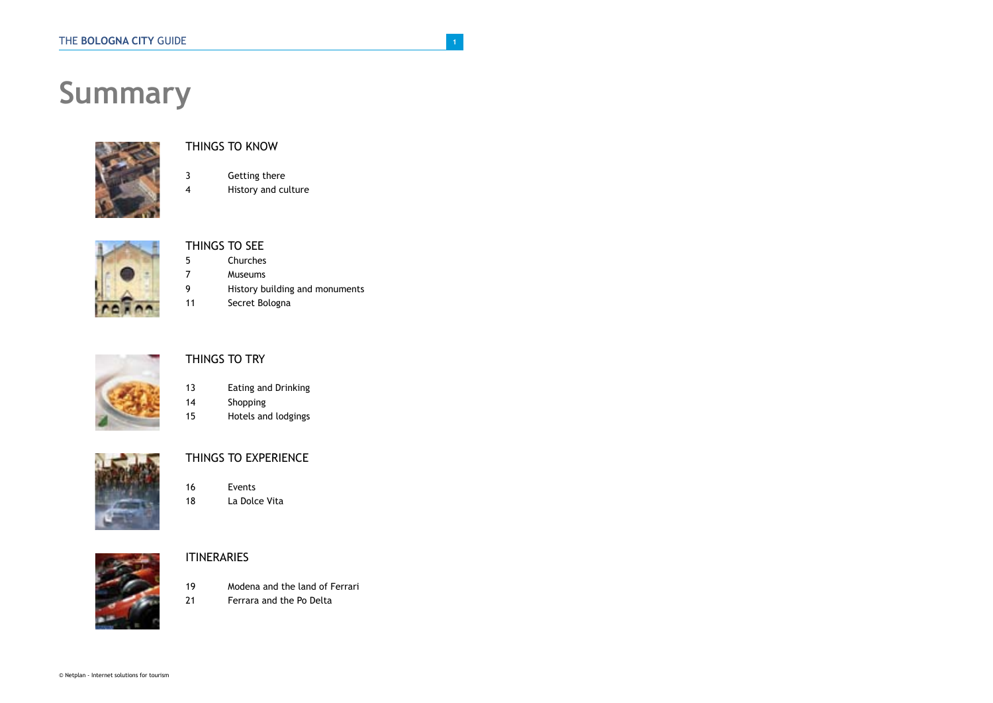# **Summary**



### THINGS TO KNOW

- 3 Getting there
- 4 History and culture



### THINGS TO SEE

- 5 Churches
- 7 Museums
- 9 History building and monuments<br>11 Secret Bologna
	- Secret Bologna



### THINGS TO TRY

- 13 Eating and Drinking
- 14 Shopping
- 15 Hotels and lodgings



### THINGS TO EXPERIENCE

16 Events 18 La Dolce Vita



### **ITINERARIES**

- 19 Modena and the land of Ferrari
- 21 Ferrara and the Po Delta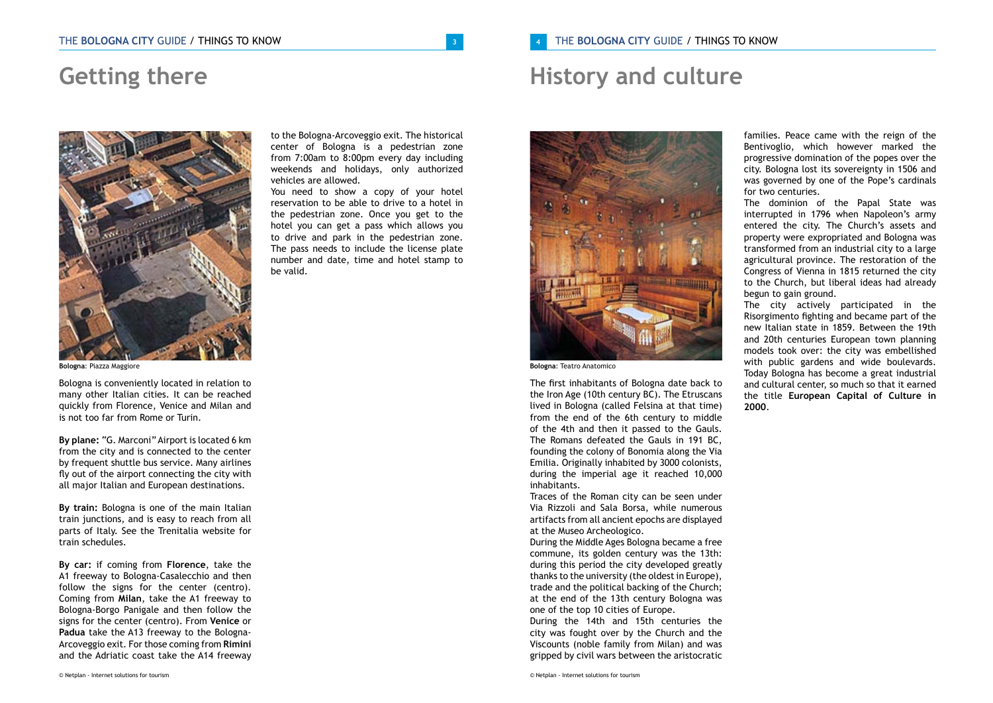## **Getting there**



**Bologna**: Piazza Maggiore

Bologna is conveniently located in relation to many other Italian cities. It can be reached quickly from Florence, Venice and Milan and is not too far from Rome or Turin.

**By plane:** "G. Marconi" Airport is located 6 km from the city and is connected to the center by frequent shuttle bus service. Many airlines fly out of the airport connecting the city with all major Italian and European destinations.

**By train:** Bologna is one of the main Italian train junctions, and is easy to reach from all parts of Italy. See the Trenitalia website for train schedules.

**By car:** if coming from **Florence**, take the A1 freeway to Bologna-Casalecchio and then follow the signs for the center (centro). Coming from **Milan**, take the A1 freeway to Bologna-Borgo Panigale and then follow the signs for the center (centro). From **Venice** or **Padua** take the A13 freeway to the Bologna-Arcoveggio exit. For those coming from **Rimini**  and the Adriatic coast take the A14 freeway

to the Bologna-Arcoveggio exit. The historical center of Bologna is a pedestrian zone from 7:00am to 8:00pm every day including weekends and holidays, only authorized vehicles are allowed.

You need to show a copy of your hotel reservation to be able to drive to a hotel in the pedestrian zone. Once you get to the hotel you can get a pass which allows you to drive and park in the pedestrian zone. The pass needs to include the license plate number and date, time and hotel stamp to be valid.

## **History and culture**



**Bologna**: Teatro Anatomico

The first inhabitants of Bologna date back to the Iron Age (10th century BC). The Etruscans lived in Bologna (called Felsina at that time) from the end of the 6th century to middle of the 4th and then it passed to the Gauls. The Romans defeated the Gauls in 191 BC, founding the colony of Bonomia along the Via Emilia. Originally inhabited by 3000 colonists, during the imperial age it reached 10,000 inhabitants.

Traces of the Roman city can be seen under Via Rizzoli and Sala Borsa, while numerous artifacts from all ancient epochs are displayed at the Museo Archeologico.

During the Middle Ages Bologna became a free commune, its golden century was the 13th: during this period the city developed greatly thanks to the university (the oldest in Europe), trade and the political backing of the Church; at the end of the 13th century Bologna was one of the top 10 cities of Europe.

During the 14th and 15th centuries the city was fought over by the Church and the Viscounts (noble family from Milan) and was gripped by civil wars between the aristocratic

© Netplan - Internet solutions for tourism

families. Peace came with the reign of the Bentivoglio, which however marked the progressive domination of the popes over the city. Bologna lost its sovereignty in 1506 and was governed by one of the Pope's cardinals for two centuries.

The dominion of the Papal State was interrupted in 1796 when Napoleon's army entered the city. The Church's assets and property were expropriated and Bologna was transformed from an industrial city to a large agricultural province. The restoration of the Congress of Vienna in 1815 returned the city to the Church, but liberal ideas had already begun to gain ground.

The city actively participated in the Risorgimento fighting and became part of the new Italian state in 1859. Between the 19th and 20th centuries European town planning models took over: the city was embellished with public gardens and wide boulevards. Today Bologna has become a great industrial and cultural center, so much so that it earned the title **European Capital of Culture in 2000**.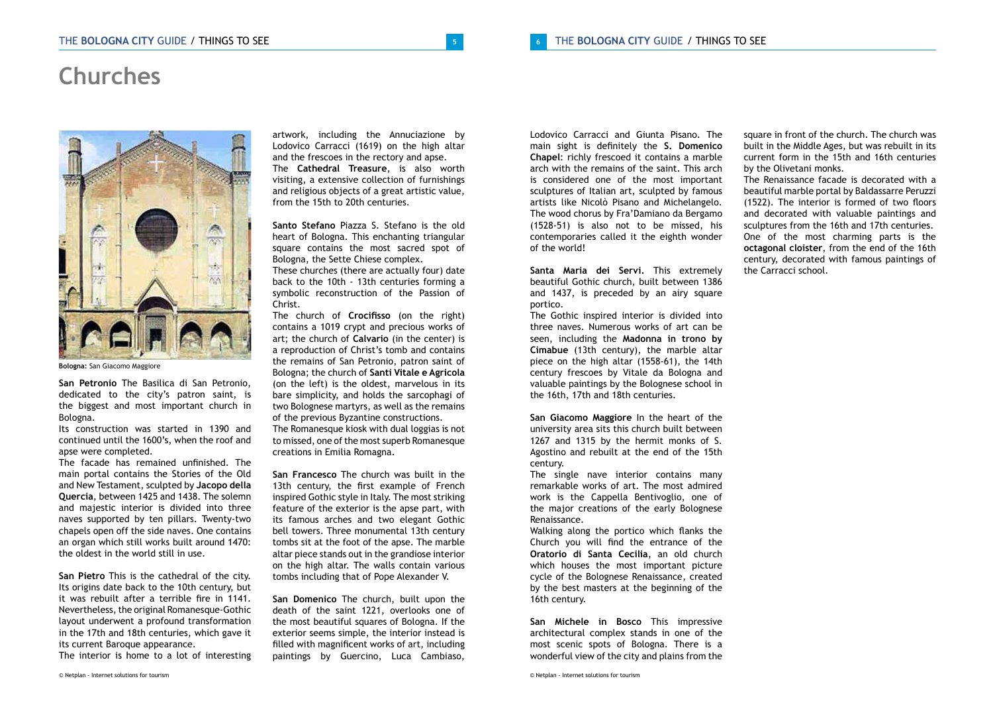## **Churches**



**Bologna:** San Giacomo Maggiore

**San Petronio** The Basilica di San Petronio, dedicated to the city's patron saint, is the biggest and most important church in Bologna.

Its construction was started in 1390 and continued until the 1600's, when the roof and apse were completed.

The facade has remained unfinished. The main portal contains the Stories of the Old and New Testament, sculpted by **Jacopo della Quercia**, between 1425 and 1438. The solemn and majestic interior is divided into three naves supported by ten pillars. Twenty-two chapels open off the side naves. One contains an organ which still works built around 1470: the oldest in the world still in use.

**San Pietro** This is the cathedral of the city. Its origins date back to the 10th century, but it was rebuilt after a terrible fire in 1141. Nevertheless, the original Romanesque-Gothic layout underwent a profound transformation in the 17th and 18th centuries, which gave it its current Baroque appearance.

The interior is home to a lot of interesting

artwork, including the Annuciazione by Lodovico Carracci (1619) on the high altar and the frescoes in the rectory and apse. The **Cathedral Treasure**, is also worth visiting, a extensive collection of furnishings and religious objects of a great artistic value, from the 15th to 20th centuries.

**Santo Stefano** Piazza S. Stefano is the old heart of Bologna. This enchanting triangular square contains the most sacred spot of Bologna, the Sette Chiese complex.

These churches (there are actually four) date back to the 10th - 13th centuries forming a symbolic reconstruction of the Passion of Christ.

The church of **Crocifisso** (on the right) contains a 1019 crypt and precious works of art; the church of **Calvario** (in the center) is a reproduction of Christ's tomb and contains the remains of San Petronio, patron saint of Bologna; the church of **Santi Vitale e Agricola** (on the left) is the oldest, marvelous in its bare simplicity, and holds the sarcophagi of two Bolognese martyrs, as well as the remains of the previous Byzantine constructions. The Romanesque kiosk with dual loggias is not

to missed, one of the most superb Romanesque creations in Emilia Romagna.

**San Francesco** The church was built in the 13th century, the first example of French inspired Gothic style in Italy. The most striking feature of the exterior is the apse part, with its famous arches and two elegant Gothic bell towers. Three monumental 13th century tombs sit at the foot of the apse. The marble altar piece stands out in the grandiose interior on the high altar. The walls contain various tombs including that of Pope Alexander V.

**San Domenico** The church, built upon the death of the saint 1221, overlooks one of the most beautiful squares of Bologna. If the exterior seems simple, the interior instead is filled with magnificent works of art, including paintings by Guercino, Luca Cambiaso, Lodovico Carracci and Giunta Pisano. The main sight is definitely the **S. Domenico Chapel**: richly frescoed it contains a marble arch with the remains of the saint. This arch is considered one of the most important sculptures of Italian art, sculpted by famous artists like Nicolò Pisano and Michelangelo. The wood chorus by Fra'Damiano da Bergamo (1528-51) is also not to be missed, his contemporaries called it the eighth wonder of the world!

**Santa Maria dei Servi.** This extremely beautiful Gothic church, built between 1386 and 1437, is preceded by an airy square portico.

The Gothic inspired interior is divided into three naves. Numerous works of art can be seen, including the **Madonna in trono by Cimabue** (13th century), the marble altar piece on the high altar (1558-61), the 14th century frescoes by Vitale da Bologna and valuable paintings by the Bolognese school in the 16th, 17th and 18th centuries.

**San Giacomo Maggiore** In the heart of the university area sits this church built between 1267 and 1315 by the hermit monks of S. Agostino and rebuilt at the end of the 15th century.

The single nave interior contains many remarkable works of art. The most admired work is the Cappella Bentivoglio, one of the major creations of the early Bolognese Renaissance.

Walking along the portico which flanks the Church you will find the entrance of the **Oratorio di Santa Cecilia**, an old church which houses the most important picture cycle of the Bolognese Renaissance, created by the best masters at the beginning of the 16th century.

**San Michele in Bosco** This impressive architectural complex stands in one of the most scenic spots of Bologna. There is a wonderful view of the city and plains from the

© Netplan - Internet solutions for tourism

square in front of the church. The church was built in the Middle Ages, but was rebuilt in its current form in the 15th and 16th centuries by the Olivetani monks.

The Renaissance facade is decorated with a beautiful marble portal by Baldassarre Peruzzi (1522). The interior is formed of two floors and decorated with valuable paintings and sculptures from the 16th and 17th centuries. One of the most charming parts is the **octagonal cloister**, from the end of the 16th century, decorated with famous paintings of the Carracci school.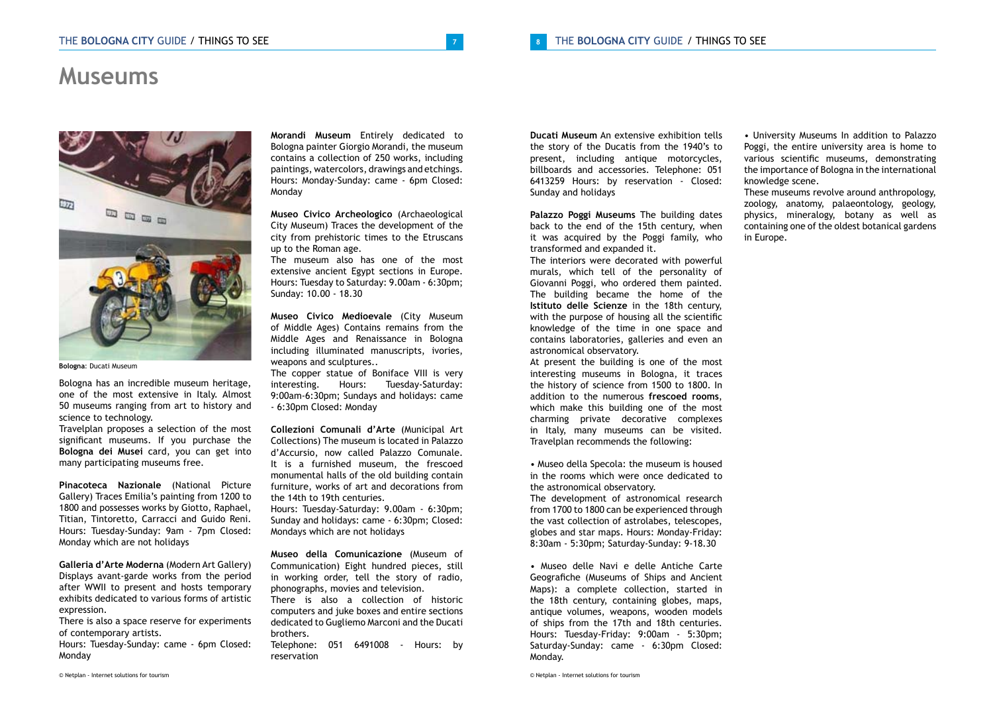### **Museums**



**Bologna**: Ducati Museum

Bologna has an incredible museum heritage, one of the most extensive in Italy. Almost 50 museums ranging from art to history and science to technology.

Travelplan proposes a selection of the most significant museums. If you purchase the **Bologna dei Musei** card, you can get into many participating museums free.

**Pinacoteca Nazionale** (National Picture Gallery) Traces Emilia's painting from 1200 to 1800 and possesses works by Giotto, Raphael, Titian, Tintoretto, Carracci and Guido Reni. Hours: Tuesday-Sunday: 9am - 7pm Closed: Monday which are not holidays

**Galleria d'Arte Moderna** (Modern Art Gallery) Displays avant-garde works from the period after WWII to present and hosts temporary exhibits dedicated to various forms of artistic expression.

There is also a space reserve for experiments of contemporary artists.

Hours: Tuesday-Sunday: came - 6pm Closed: Monday

**Morandi Museum** Entirely dedicated to Bologna painter Giorgio Morandi, the museum contains a collection of 250 works, including paintings, watercolors, drawings and etchings. Hours: Monday-Sunday: came - 6pm Closed: Monday

**Museo Civico Archeologico** (Archaeological City Museum) Traces the development of the city from prehistoric times to the Etruscans up to the Roman age.

The museum also has one of the most extensive ancient Egypt sections in Europe. Hours: Tuesday to Saturday: 9.00am - 6:30pm; Sunday: 10.00 - 18.30

**Museo Civico Medioevale** (City Museum of Middle Ages) Contains remains from the Middle Ages and Renaissance in Bologna including illuminated manuscripts, ivories, weapons and sculptures..

The copper statue of Boniface VIII is very<br>interesting. Hours: Tuesday-Saturday: Hours: Tuesday-Saturday: 9:00am-6:30pm; Sundays and holidays: came - 6:30pm Closed: Monday

**Collezioni Comunali d'Arte** (Municipal Art Collections) The museum is located in Palazzo d'Accursio, now called Palazzo Comunale. It is a furnished museum, the frescoed monumental halls of the old building contain furniture, works of art and decorations from the 14th to 19th centuries.

Hours: Tuesday-Saturday: 9.00am - 6:30pm; Sunday and holidays: came - 6:30pm; Closed: Mondays which are not holidays

**Museo della Comunicazione** (Museum of Communication) Eight hundred pieces, still in working order, tell the story of radio, phonographs, movies and television. There is also a collection of historic

computers and juke boxes and entire sections dedicated to Gugliemo Marconi and the Ducati brothers.

Telephone: 051 6491008 - Hours: by reservation

**Ducati Museum** An extensive exhibition tells the story of the Ducatis from the 1940's to present, including antique motorcycles, billboards and accessories. Telephone: 051 6413259 Hours: by reservation - Closed: Sunday and holidays

**Palazzo Poggi Museums** The building dates back to the end of the 15th century, when it was acquired by the Poggi family, who transformed and expanded it.

The interiors were decorated with powerful murals, which tell of the personality of Giovanni Poggi, who ordered them painted. The building became the home of the **Istituto delle Scienze** in the 18th century, with the purpose of housing all the scientific knowledge of the time in one space and contains laboratories, galleries and even an astronomical observatory.

At present the building is one of the most interesting museums in Bologna, it traces the history of science from 1500 to 1800. In addition to the numerous **frescoed rooms**, which make this building one of the most charming private decorative complexes in Italy, many museums can be visited. Travelplan recommends the following:

• Museo della Specola: the museum is housed in the rooms which were once dedicated to the astronomical observatory.

The development of astronomical research from 1700 to 1800 can be experienced through the vast collection of astrolabes, telescopes, globes and star maps. Hours: Monday-Friday: 8:30am - 5:30pm; Saturday-Sunday: 9-18.30

• Museo delle Navi e delle Antiche Carte Geografiche (Museums of Ships and Ancient Maps): a complete collection, started in the 18th century, containing globes, maps, antique volumes, weapons, wooden models of ships from the 17th and 18th centuries. Hours: Tuesday-Friday: 9:00am - 5:30pm; Saturday-Sunday: came - 6:30pm Closed: Monday.

• University Museums In addition to Palazzo Poggi, the entire university area is home to various scientific museums, demonstrating the importance of Bologna in the international knowledge scene.

These museums revolve around anthropology, zoology, anatomy, palaeontology, geology, physics, mineralogy, botany as well as containing one of the oldest botanical gardens in Europe.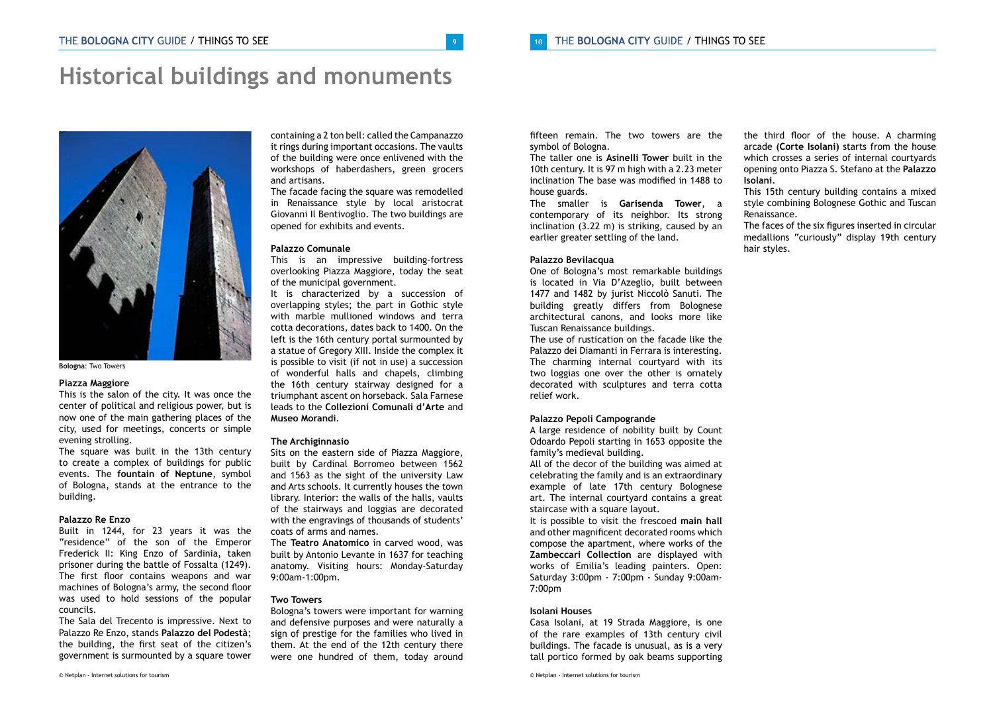### **Historical buildings and monuments**



**Bologna**: Two Towers

#### **Piazza Maggiore**

This is the salon of the city. It was once the center of political and religious power, but is now one of the main gathering places of the city, used for meetings, concerts or simple evening strolling.

The square was built in the 13th century to create a complex of buildings for public events. The **fountain of Neptune**, symbol of Bologna, stands at the entrance to the building.

#### **Palazzo Re Enzo**

Built in 1244, for 23 years it was the "residence" of the son of the Emperor Frederick II: King Enzo of Sardinia, taken prisoner during the battle of Fossalta (1249). The first floor contains weapons and war machines of Bologna's army, the second floor was used to hold sessions of the popular councils.

The Sala del Trecento is impressive. Next to Palazzo Re Enzo, stands **Palazzo del Podestà**; the building, the first seat of the citizen's government is surmounted by a square tower

containing a 2 ton bell: called the Campanazzo it rings during important occasions. The vaults of the building were once enlivened with the workshops of haberdashers, green grocers and artisans.

The facade facing the square was remodelled in Renaissance style by local aristocrat Giovanni Il Bentivoglio. The two buildings are opened for exhibits and events.

#### **Palazzo Comunale**

This is an impressive building-fortress overlooking Piazza Maggiore, today the seat of the municipal government.

It is characterized by a succession of overlapping styles; the part in Gothic style with marble mullioned windows and terra cotta decorations, dates back to 1400. On the left is the 16th century portal surmounted by a statue of Gregory XIII. Inside the complex it is possible to visit (if not in use) a succession of wonderful halls and chapels, climbing the 16th century stairway designed for a triumphant ascent on horseback. Sala Farnese leads to the **Collezioni Comunali d'Arte** and **Museo Morandi**.

#### **The Archiginnasio**

Sits on the eastern side of Piazza Maggiore, built by Cardinal Borromeo between 1562 and 1563 as the sight of the university Law and Arts schools. It currently houses the town library. Interior: the walls of the halls, vaults of the stairways and loggias are decorated with the engravings of thousands of students' coats of arms and names.

The **Teatro Anatomico** in carved wood, was built by Antonio Levante in 1637 for teaching anatomy. Visiting hours: Monday-Saturday 9:00am-1:00pm.

#### **Two Towers**

Bologna's towers were important for warning and defensive purposes and were naturally a sign of prestige for the families who lived in them. At the end of the 12th century there were one hundred of them, today around fifteen remain. The two towers are the symbol of Bologna.

The taller one is **Asinelli Tower** built in the 10th century. It is 97 m high with a 2.23 meter inclination The base was modified in 1488 to house guards.

The smaller is **Garisenda Tower**, a contemporary of its neighbor. Its strong inclination (3.22 m) is striking, caused by an earlier greater settling of the land.

#### **Palazzo Bevilacqua**

One of Bologna's most remarkable buildings is located in Via D'Azeglio, built between 1477 and 1482 by jurist Niccolò Sanuti. The building greatly differs from Bolognese architectural canons, and looks more like Tuscan Renaissance buildings.

The use of rustication on the facade like the Palazzo dei Diamanti in Ferrara is interesting. The charming internal courtyard with its two loggias one over the other is ornately decorated with sculptures and terra cotta relief work.

#### **Palazzo Pepoli Campogrande**

A large residence of nobility built by Count Odoardo Pepoli starting in 1653 opposite the family's medieval building.

All of the decor of the building was aimed at celebrating the family and is an extraordinary example of late 17th century Bolognese art. The internal courtyard contains a great staircase with a square layout.

It is possible to visit the frescoed **main hall**  and other magnificent decorated rooms which compose the apartment, where works of the **Zambeccari Collection** are displayed with works of Emilia's leading painters. Open: Saturday 3:00pm - 7:00pm - Sunday 9:00am-7:00pm

#### **Isolani Houses**

Casa Isolani, at 19 Strada Maggiore, is one of the rare examples of 13th century civil buildings. The facade is unusual, as is a very tall portico formed by oak beams supporting

© Netplan - Internet solutions for tourism

the third floor of the house. A charming arcade **(Corte Isolani)** starts from the house which crosses a series of internal courtyards opening onto Piazza S. Stefano at the **Palazzo Isolani**.

This 15th century building contains a mixed style combining Bolognese Gothic and Tuscan Renaissance.

The faces of the six figures inserted in circular medallions "curiously" display 19th century hair styles.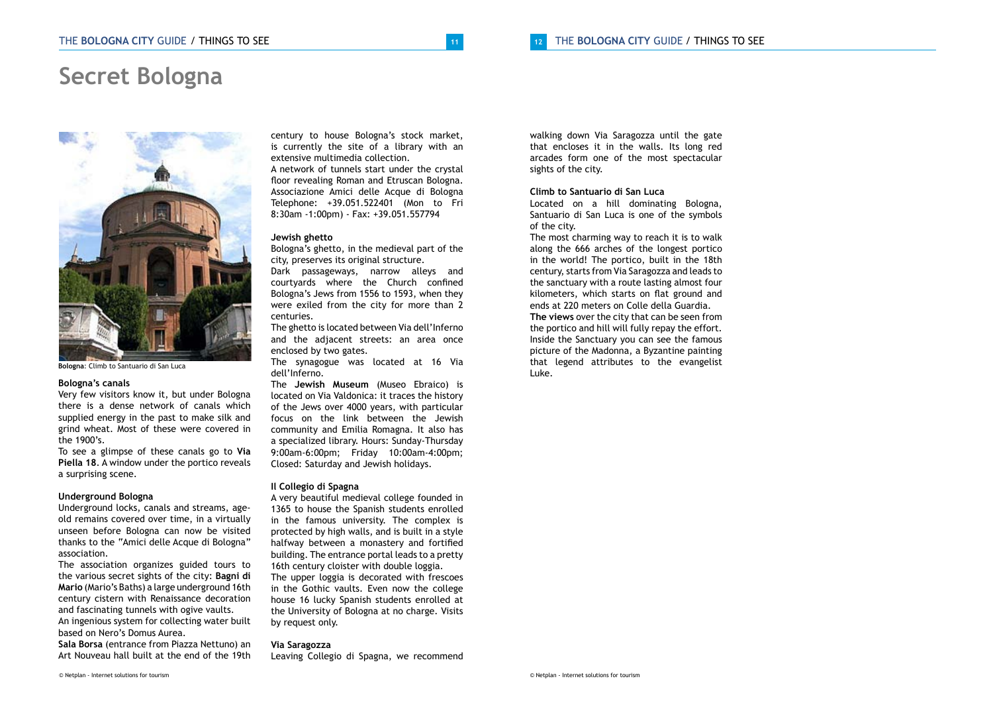### **Secret Bologna**



**Bologna**: Climb to Santuario di San Luca

#### **Bologna's canals**

Very few visitors know it, but under Bologna there is a dense network of canals which supplied energy in the past to make silk and grind wheat. Most of these were covered in the 1900's.

To see a glimpse of these canals go to **Via Piella 18**. A window under the portico reveals a surprising scene.

#### **Underground Bologna**

Underground locks, canals and streams, ageold remains covered over time, in a virtually unseen before Bologna can now be visited thanks to the "Amici delle Acque di Bologna" association.

The association organizes guided tours to the various secret sights of the city: **Bagni di Mario** (Mario's Baths) a large underground 16th century cistern with Renaissance decoration and fascinating tunnels with ogive vaults. An ingenious system for collecting water built

based on Nero's Domus Aurea. **Sala Borsa** (entrance from Piazza Nettuno) an

Art Nouveau hall built at the end of the 19th

century to house Bologna's stock market, is currently the site of a library with an extensive multimedia collection.

A network of tunnels start under the crystal floor revealing Roman and Etruscan Bologna. Associazione Amici delle Acque di Bologna Telephone: +39.051.522401 (Mon to Fri 8:30am -1:00pm) - Fax: +39.051.557794

#### **Jewish ghetto**

Bologna's ghetto, in the medieval part of the city, preserves its original structure. Dark passageways, narrow alleys and courtyards where the Church confined Bologna's Jews from 1556 to 1593, when they were exiled from the city for more than 2 centuries.

The ghetto is located between Via dell'Inferno and the adjacent streets: an area once enclosed by two gates.

The synagogue was located at 16 Via dell'Inferno.

The **Jewish Museum** (Museo Ebraico) is located on Via Valdonica: it traces the history of the Jews over 4000 years, with particular focus on the link between the Jewish community and Emilia Romagna. It also has a specialized library. Hours: Sunday-Thursday 9:00am-6:00pm; Friday 10:00am-4:00pm; Closed: Saturday and Jewish holidays.

#### **Il Collegio di Spagna**

A very beautiful medieval college founded in 1365 to house the Spanish students enrolled in the famous university. The complex is protected by high walls, and is built in a style halfway between a monastery and fortified building. The entrance portal leads to a pretty 16th century cloister with double loggia.

The upper loggia is decorated with frescoes in the Gothic vaults. Even now the college house 16 lucky Spanish students enrolled at the University of Bologna at no charge. Visits by request only.

#### **Via Saragozza**

Leaving Collegio di Spagna, we recommend

walking down Via Saragozza until the gate that encloses it in the walls. Its long red arcades form one of the most spectacular sights of the city.

#### **Climb to Santuario di San Luca**

Located on a hill dominating Bologna, Santuario di San Luca is one of the symbols of the city.

The most charming way to reach it is to walk along the 666 arches of the longest portico in the world! The portico, built in the 18th century, starts from Via Saragozza and leads to the sanctuary with a route lasting almost four kilometers, which starts on flat ground and ends at 220 meters on Colle della Guardia. **The views** over the city that can be seen from the portico and hill will fully repay the effort. Inside the Sanctuary you can see the famous picture of the Madonna, a Byzantine painting that legend attributes to the evangelist Luke.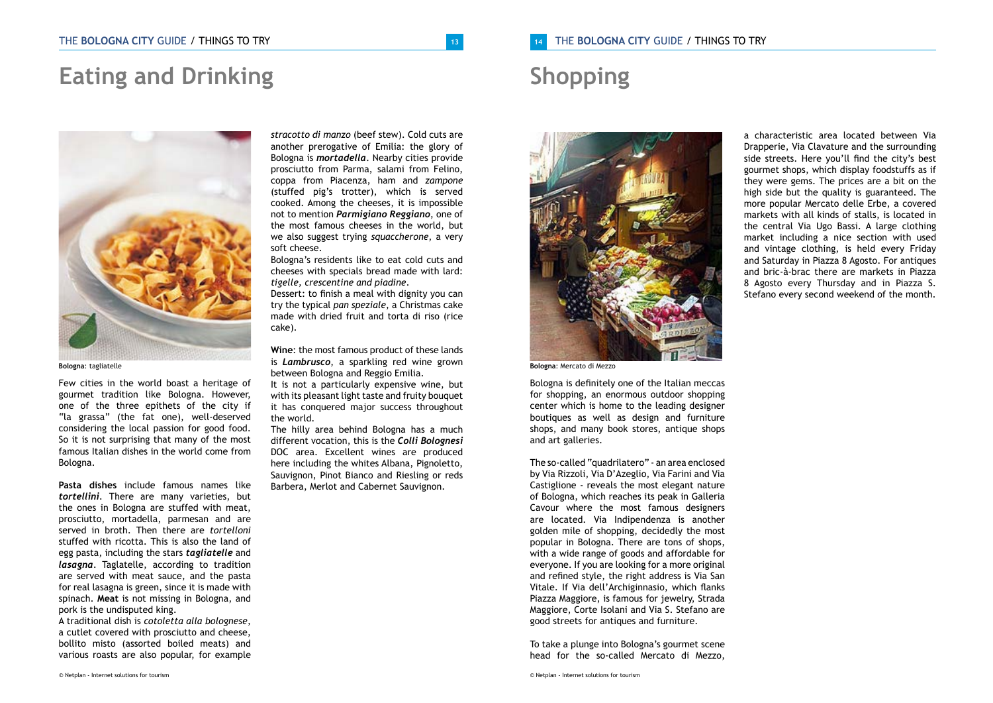## **Eating and Drinking**



**Bologna**: tagliatelle

Few cities in the world boast a heritage of gourmet tradition like Bologna. However, one of the three epithets of the city if "la grassa" (the fat one), well-deserved considering the local passion for good food. So it is not surprising that many of the most famous Italian dishes in the world come from Bologna.

**Pasta dishes** include famous names like *tortellini*. There are many varieties, but the ones in Bologna are stuffed with meat, prosciutto, mortadella, parmesan and are served in broth. Then there are *tortelloni*  stuffed with ricotta. This is also the land of egg pasta, including the stars *tagliatelle* and *lasagna*. Taglatelle, according to tradition are served with meat sauce, and the pasta for real lasagna is green, since it is made with spinach. **Meat** is not missing in Bologna, and pork is the undisputed king.

A traditional dish is *cotoletta alla bolognese*, a cutlet covered with prosciutto and cheese, bollito misto (assorted boiled meats) and various roasts are also popular, for example

*stracotto di manzo* (beef stew). Cold cuts are another prerogative of Emilia: the glory of Bologna is *mortadella*. Nearby cities provide prosciutto from Parma, salami from Felino, coppa from Piacenza, ham and *zampone*  (stuffed pig's trotter), which is served cooked. Among the cheeses, it is impossible not to mention *Parmigiano Reggiano*, one of the most famous cheeses in the world, but we also suggest trying *squaccherone*, a very soft cheese.

Bologna's residents like to eat cold cuts and cheeses with specials bread made with lard: *tigelle, crescentine and piadine*.

Dessert: to finish a meal with dignity you can try the typical *pan speziale*, a Christmas cake made with dried fruit and torta di riso (rice cake).

**Wine**: the most famous product of these lands is *Lambrusco*, a sparkling red wine grown between Bologna and Reggio Emilia.

It is not a particularly expensive wine, but with its pleasant light taste and fruity bouquet it has conquered major success throughout the world.

The hilly area behind Bologna has a much different vocation, this is the *Colli Bolognesi*  DOC area. Excellent wines are produced here including the whites Albana, Pignoletto, Sauvignon, Pinot Bianco and Riesling or reds Barbera, Merlot and Cabernet Sauvignon.

### **<sup>14</sup>** THE **BOLOGNA CITY** GUIDE / THINGS TO TRY / THINGS TO TRY

## **Shopping**



**Bologna**: Mercato di Mezzo

Bologna is definitely one of the Italian meccas for shopping, an enormous outdoor shopping center which is home to the leading designer boutiques as well as design and furniture shops, and many book stores, antique shops and art galleries.

The so-called "quadrilatero" - an area enclosed by Via Rizzoli, Via D'Azeglio, Via Farini and Via Castiglione - reveals the most elegant nature of Bologna, which reaches its peak in Galleria Cavour where the most famous designers are located. Via Indipendenza is another golden mile of shopping, decidedly the most popular in Bologna. There are tons of shops, with a wide range of goods and affordable for everyone. If you are looking for a more original and refined style, the right address is Via San Vitale. If Via dell'Archiginnasio, which flanks Piazza Maggiore, is famous for jewelry, Strada Maggiore, Corte Isolani and Via S. Stefano are good streets for antiques and furniture.

To take a plunge into Bologna's gourmet scene head for the so-called Mercato di Mezzo,

a characteristic area located between Via Drapperie, Via Clavature and the surrounding side streets. Here you'll find the city's best gourmet shops, which display foodstuffs as if they were gems. The prices are a bit on the high side but the quality is guaranteed. The more popular Mercato delle Erbe, a covered markets with all kinds of stalls, is located in the central Via Ugo Bassi. A large clothing market including a nice section with used and vintage clothing, is held every Friday and Saturday in Piazza 8 Agosto. For antiques and bric-à-brac there are markets in Piazza 8 Agosto every Thursday and in Piazza S. Stefano every second weekend of the month.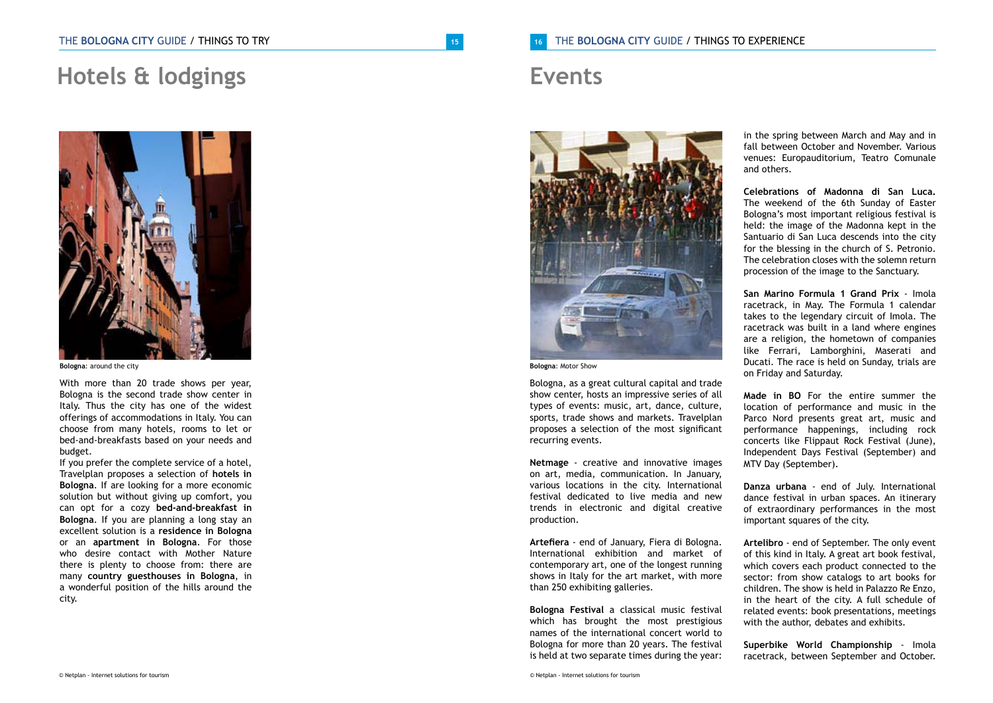## **Hotels & lodgings**



**Bologna**: around the city

With more than 20 trade shows per year, Bologna is the second trade show center in Italy. Thus the city has one of the widest offerings of accommodations in Italy. You can choose from many hotels, rooms to let or bed-and-breakfasts based on your needs and budget.

If you prefer the complete service of a hotel, Travelplan proposes a selection of **hotels in Bologna**. If are looking for a more economic solution but without giving up comfort, you can opt for a cozy **bed-and-breakfast in Bologna**. If you are planning a long stay an excellent solution is a **residence in Bologna**  or an **apartment in Bologna**. For those who desire contact with Mother Nature there is plenty to choose from: there are many **country guesthouses in Bologna**, in a wonderful position of the hills around the city.

## **Events**



**Bologna**: Motor Show

Bologna, as a great cultural capital and trade show center, hosts an impressive series of all types of events: music, art, dance, culture, sports, trade shows and markets. Travelplan proposes a selection of the most significant recurring events.

**Netmage** - creative and innovative images on art, media, communication. In January, various locations in the city. International festival dedicated to live media and new trends in electronic and digital creative production.

**Artefiera** - end of January, Fiera di Bologna. International exhibition and market of contemporary art, one of the longest running shows in Italy for the art market, with more than 250 exhibiting galleries.

**Bologna Festival** a classical music festival which has brought the most prestigious names of the international concert world to Bologna for more than 20 years. The festival is held at two separate times during the year:

in the spring between March and May and in fall between October and November. Various venues: Europauditorium, Teatro Comunale and others.

**Celebrations of Madonna di San Luca.**  The weekend of the 6th Sunday of Easter Bologna's most important religious festival is held: the image of the Madonna kept in the Santuario di San Luca descends into the city for the blessing in the church of S. Petronio. The celebration closes with the solemn return procession of the image to the Sanctuary.

**San Marino Formula 1 Grand Prix** - Imola racetrack, in May. The Formula 1 calendar takes to the legendary circuit of Imola. The racetrack was built in a land where engines are a religion, the hometown of companies like Ferrari, Lamborghini, Maserati and Ducati. The race is held on Sunday, trials are on Friday and Saturday.

**Made in BO** For the entire summer the location of performance and music in the Parco Nord presents great art, music and performance happenings, including rock concerts like Flippaut Rock Festival (June), Independent Days Festival (September) and MTV Day (September).

**Danza urbana** - end of July. International dance festival in urban spaces. An itinerary of extraordinary performances in the most important squares of the city.

**Artelibro** - end of September. The only event of this kind in Italy. A great art book festival, which covers each product connected to the sector: from show catalogs to art books for children. The show is held in Palazzo Re Enzo, in the heart of the city. A full schedule of related events: book presentations, meetings with the author, debates and exhibits.

**Superbike World Championship** - Imola racetrack, between September and October.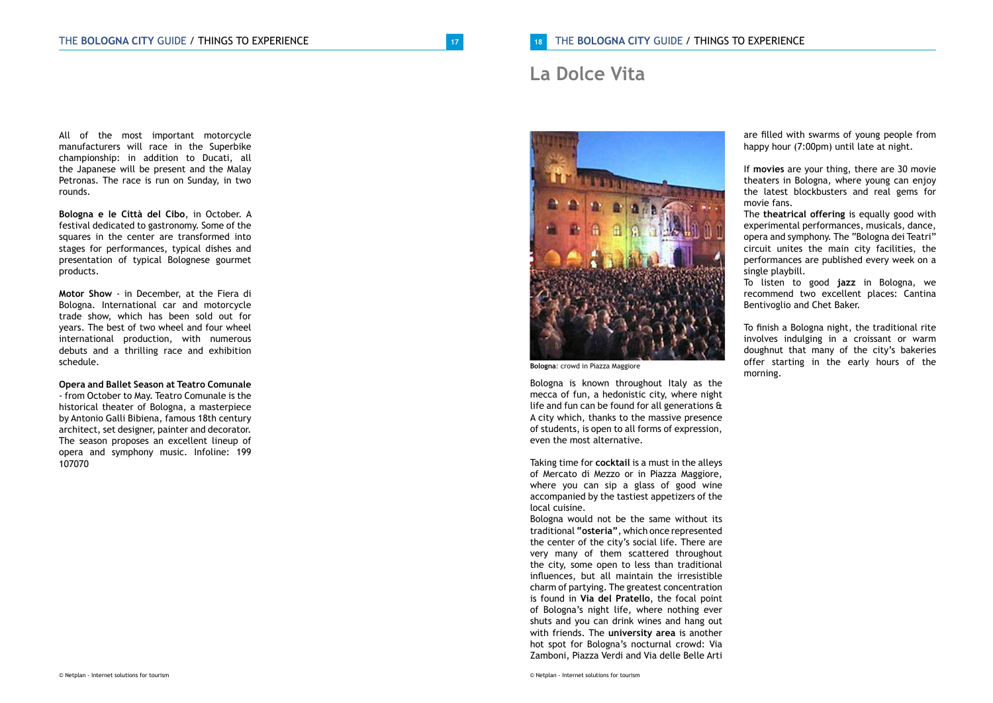### **La Dolce Vita**



festival dedicated to gastronomy. Some of the squares in the center are transformed into stages for performances, typical dishes and presentation of typical Bolognese gourmet products.

rounds.

**Motor Show** - in December, at the Fiera di Bologna. International car and motorcycle trade show, which has been sold out for years. The best of two wheel and four wheel international production, with numerous debuts and a thrilling race and exhibition schedule.

#### **Opera and Ballet Season at Teatro Comunale**

- from October to May. Teatro Comunale is the historical theater of Bologna, a masterpiece by Antonio Galli Bibiena, famous 18th century architect, set designer, painter and decorator. The season proposes an excellent lineup of opera and symphony music. Infoline: 199 107070



**Bologna**: crowd in Piazza Maggiore

Bologna is known throughout Italy as the mecca of fun, a hedonistic city, where night life and fun can be found for all generations & A city which, thanks to the massive presence of students, is open to all forms of expression, even the most alternative.

Taking time for **cocktail** is a must in the alleys of Mercato di Mezzo or in Piazza Maggiore, where you can sip a glass of good wine accompanied by the tastiest appetizers of the local cuisine.

Bologna would not be the same without its traditional **"osteria"**, which once represented the center of the city's social life. There are very many of them scattered throughout the city, some open to less than traditional influences, but all maintain the irresistible charm of partying. The greatest concentration is found in **Via del Pratello**, the focal point of Bologna's night life, where nothing ever shuts and you can drink wines and hang out with friends. The **university area** is another hot spot for Bologna's nocturnal crowd: Via Zamboni, Piazza Verdi and Via delle Belle Arti

are filled with swarms of young people from happy hour (7:00pm) until late at night.

If **movies** are your thing, there are 30 movie theaters in Bologna, where young can enjoy the latest blockbusters and real gems for movie fans.

The **theatrical offering** is equally good with experimental performances, musicals, dance, opera and symphony. The "Bologna dei Teatri" circuit unites the main city facilities, the performances are published every week on a single playbill.

To listen to good **jazz** in Bologna, we recommend two excellent places: Cantina Bentivoglio and Chet Baker.

To finish a Bologna night, the traditional rite involves indulging in a croissant or warm doughnut that many of the city's bakeries offer starting in the early hours of the morning.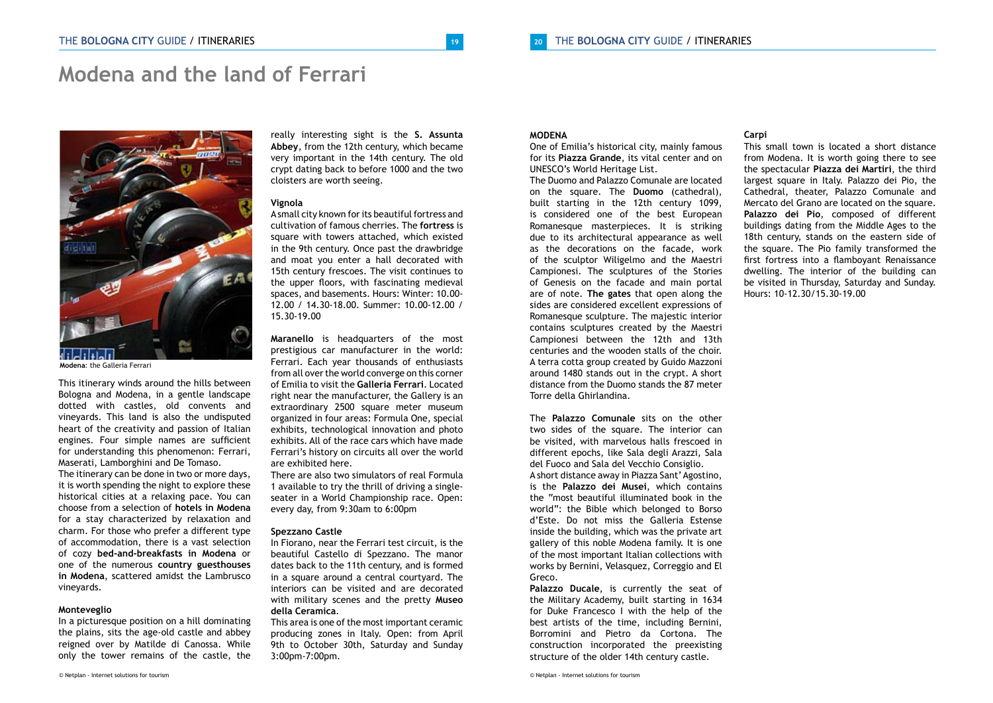### **Modena and the land of Ferrari**



**Modena**: the Galleria Ferrari

This itinerary winds around the hills between Bologna and Modena, in a gentle landscape dotted with castles, old convents and vineyards. This land is also the undisputed heart of the creativity and passion of Italian engines. Four simple names are sufficient for understanding this phenomenon: Ferrari, Maserati, Lamborghini and De Tomaso.

The itinerary can be done in two or more days, it is worth spending the night to explore these historical cities at a relaxing pace. You can choose from a selection of **hotels in Modena** for a stay characterized by relaxation and charm. For those who prefer a different type of accommodation, there is a vast selection of cozy **bed-and-breakfasts in Modena** or one of the numerous **country guesthouses in Modena**, scattered amidst the Lambrusco vineyards.

#### **Monteveglio**

In a picturesque position on a hill dominating the plains, sits the age-old castle and abbey reigned over by Matilde di Canossa. While only the tower remains of the castle, the

really interesting sight is the **S. Assunta Abbey**, from the 12th century, which became very important in the 14th century. The old crypt dating back to before 1000 and the two cloisters are worth seeing.

#### **Vignola**

A small city known for its beautiful fortress and cultivation of famous cherries. The **fortress** is square with towers attached, which existed in the 9th century. Once past the drawbridge and moat you enter a hall decorated with 15th century frescoes. The visit continues to the upper floors, with fascinating medieval spaces, and basements. Hours: Winter: 10.00- 12.00 / 14.30-18.00. Summer: 10.00-12.00 / 15.30-19.00

**Maranello** is headquarters of the most prestigious car manufacturer in the world: Ferrari. Each year thousands of enthusiasts from all over the world converge on this corner of Emilia to visit the **Galleria Ferrari**. Located right near the manufacturer, the Gallery is an extraordinary 2500 square meter museum organized in four areas: Formula One, special exhibits, technological innovation and photo exhibits. All of the race cars which have made Ferrari's history on circuits all over the world are exhibited here.

There are also two simulators of real Formula 1 available to try the thrill of driving a singleseater in a World Championship race. Open: every day, from 9:30am to 6:00pm

#### **Spezzano Castle**

In Fiorano, near the Ferrari test circuit, is the beautiful Castello di Spezzano. The manor dates back to the 11th century, and is formed in a square around a central courtyard. The interiors can be visited and are decorated with military scenes and the pretty **Museo della Ceramica**.

This area is one of the most important ceramic producing zones in Italy. Open: from April 9th to October 30th, Saturday and Sunday 3:00pm-7:00pm.

#### **MODENA**

One of Emilia's historical city, mainly famous for its **Piazza Grande**, its vital center and on UNESCO's World Heritage List.

The Duomo and Palazzo Comunale are located on the square. The **Duomo** (cathedral), built starting in the 12th century 1099, is considered one of the best European Romanesque masterpieces. It is striking due to its architectural appearance as well as the decorations on the facade, work of the sculptor Wiligelmo and the Maestri Campionesi. The sculptures of the Stories of Genesis on the facade and main portal are of note. **The gates** that open along the sides are considered excellent expressions of Romanesque sculpture. The majestic interior contains sculptures created by the Maestri Campionesi between the 12th and 13th centuries and the wooden stalls of the choir. A terra cotta group created by Guido Mazzoni around 1480 stands out in the crypt. A short distance from the Duomo stands the 87 meter Torre della Ghirlandina.

The **Palazzo Comunale** sits on the other two sides of the square. The interior can be visited, with marvelous halls frescoed in different epochs, like Sala degli Arazzi, Sala del Fuoco and Sala del Vecchio Consiglio. A short distance away in Piazza Sant' Agostino, is the **Palazzo dei Musei**, which contains the "most beautiful illuminated book in the world": the Bible which belonged to Borso d'Este. Do not miss the Galleria Estense inside the building, which was the private art gallery of this noble Modena family. It is one of the most important Italian collections with works by Bernini, Velasquez, Correggio and El Greco.

**Palazzo Ducale**, is currently the seat of the Military Academy, built starting in 1634 for Duke Francesco I with the help of the best artists of the time, including Bernini, Borromini and Pietro da Cortona. The construction incorporated the preexisting structure of the older 14th century castle.

#### **Carpi**

This small town is located a short distance from Modena. It is worth going there to see the spectacular **Piazza dei Martiri**, the third largest square in Italy. Palazzo dei Pio, the Cathedral, theater, Palazzo Comunale and Mercato del Grano are located on the square. **Palazzo dei Pio**, composed of different buildings dating from the Middle Ages to the 18th century, stands on the eastern side of the square. The Pio family transformed the first fortress into a flamboyant Renaissance dwelling. The interior of the building can be visited in Thursday, Saturday and Sunday. Hours: 10-12.30/15.30-19.00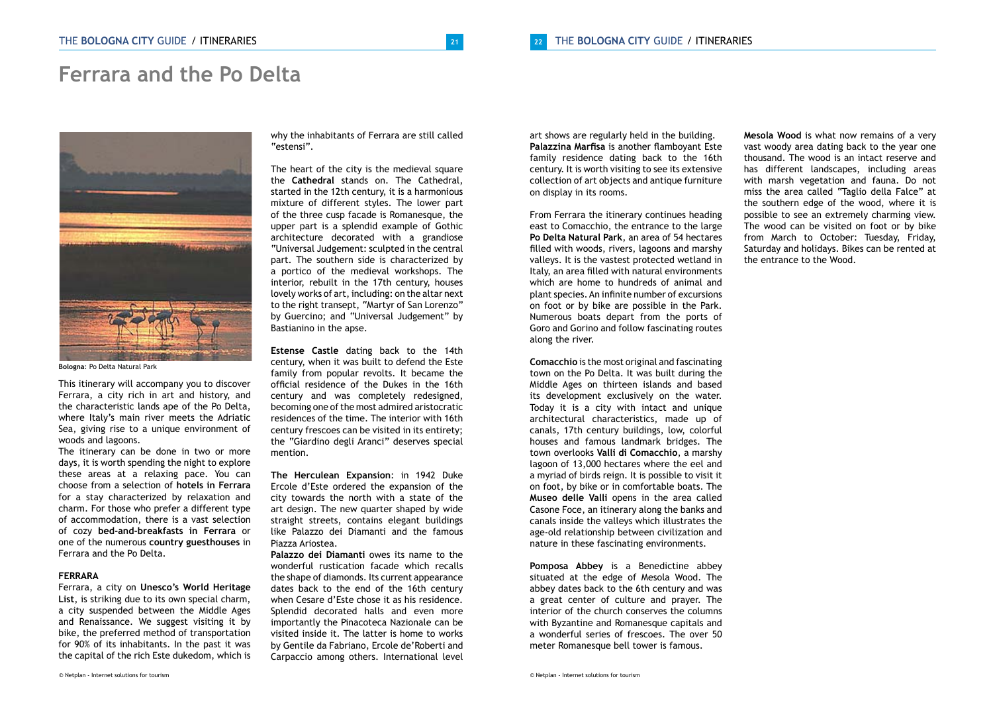### **Ferrara and the Po Delta**



**Bologna**: Po Delta Natural Park

This itinerary will accompany you to discover Ferrara, a city rich in art and history, and the characteristic lands ape of the Po Delta, where Italy's main river meets the Adriatic Sea, giving rise to a unique environment of woods and lagoons.

The itinerary can be done in two or more days, it is worth spending the night to explore these areas at a relaxing pace. You can choose from a selection of **hotels in Ferrara** for a stay characterized by relaxation and charm. For those who prefer a different type of accommodation, there is a vast selection of cozy **bed-and-breakfasts in Ferrara** or one of the numerous **country guesthouses** in Ferrara and the Po Delta.

#### **FERRARA**

Ferrara, a city on **Unesco's World Heritage List**, is striking due to its own special charm, a city suspended between the Middle Ages and Renaissance. We suggest visiting it by bike, the preferred method of transportation for 90% of its inhabitants. In the past it was the capital of the rich Este dukedom, which is why the inhabitants of Ferrara are still called "estensi".

The heart of the city is the medieval square the **Cathedral** stands on. The Cathedral, started in the 12th century, it is a harmonious mixture of different styles. The lower part of the three cusp facade is Romanesque, the upper part is a splendid example of Gothic architecture decorated with a grandiose "Universal Judgement: sculpted in the central part. The southern side is characterized by a portico of the medieval workshops. The interior, rebuilt in the 17th century, houses lovely works of art, including: on the altar next to the right transept, "Martyr of San Lorenzo" by Guercino; and "Universal Judgement" by Bastianino in the apse.

**Estense Castle** dating back to the 14th century, when it was built to defend the Este family from popular revolts. It became the official residence of the Dukes in the 16th century and was completely redesigned, becoming one of the most admired aristocratic residences of the time. The interior with 16th century frescoes can be visited in its entirety; the "Giardino degli Aranci" deserves special mention.

**The Herculean Expansion**: in 1942 Duke Ercole d'Este ordered the expansion of the city towards the north with a state of the art design. The new quarter shaped by wide straight streets, contains elegant buildings like Palazzo dei Diamanti and the famous Piazza Ariostea.

**Palazzo dei Diamanti** owes its name to the wonderful rustication facade which recalls the shape of diamonds. Its current appearance dates back to the end of the 16th century when Cesare d'Este chose it as his residence. Splendid decorated halls and even more importantly the Pinacoteca Nazionale can be visited inside it. The latter is home to works by Gentile da Fabriano, Ercole de'Roberti and Carpaccio among others. International level art shows are regularly held in the building. **Palazzina Marfisa** is another flamboyant Este family residence dating back to the 16th century. It is worth visiting to see its extensive collection of art objects and antique furniture on display in its rooms.

From Ferrara the itinerary continues heading east to Comacchio, the entrance to the large **Po Delta Natural Park**, an area of 54 hectares filled with woods, rivers, lagoons and marshy valleys. It is the vastest protected wetland in Italy, an area filled with natural environments which are home to hundreds of animal and plant species. An infinite number of excursions on foot or by bike are possible in the Park. Numerous boats depart from the ports of Goro and Gorino and follow fascinating routes along the river.

**Comacchio** is the most original and fascinating town on the Po Delta. It was built during the Middle Ages on thirteen islands and based its development exclusively on the water. Today it is a city with intact and unique architectural characteristics, made up of canals, 17th century buildings, low, colorful houses and famous landmark bridges. The town overlooks **Valli di Comacchio**, a marshy lagoon of 13,000 hectares where the eel and a myriad of birds reign. It is possible to visit it on foot, by bike or in comfortable boats. The **Museo delle Valli** opens in the area called Casone Foce, an itinerary along the banks and canals inside the valleys which illustrates the age-old relationship between civilization and nature in these fascinating environments.

**Pomposa Abbey** is a Benedictine abbey situated at the edge of Mesola Wood. The abbey dates back to the 6th century and was a great center of culture and prayer. The interior of the church conserves the columns with Byzantine and Romanesque capitals and a wonderful series of frescoes. The over 50 meter Romanesque bell tower is famous.

**Mesola Wood** is what now remains of a very vast woody area dating back to the year one thousand. The wood is an intact reserve and has different landscapes, including areas with marsh vegetation and fauna. Do not miss the area called "Taglio della Falce" at the southern edge of the wood, where it is possible to see an extremely charming view. The wood can be visited on foot or by bike from March to October: Tuesday, Friday, Saturday and holidays. Bikes can be rented at the entrance to the Wood.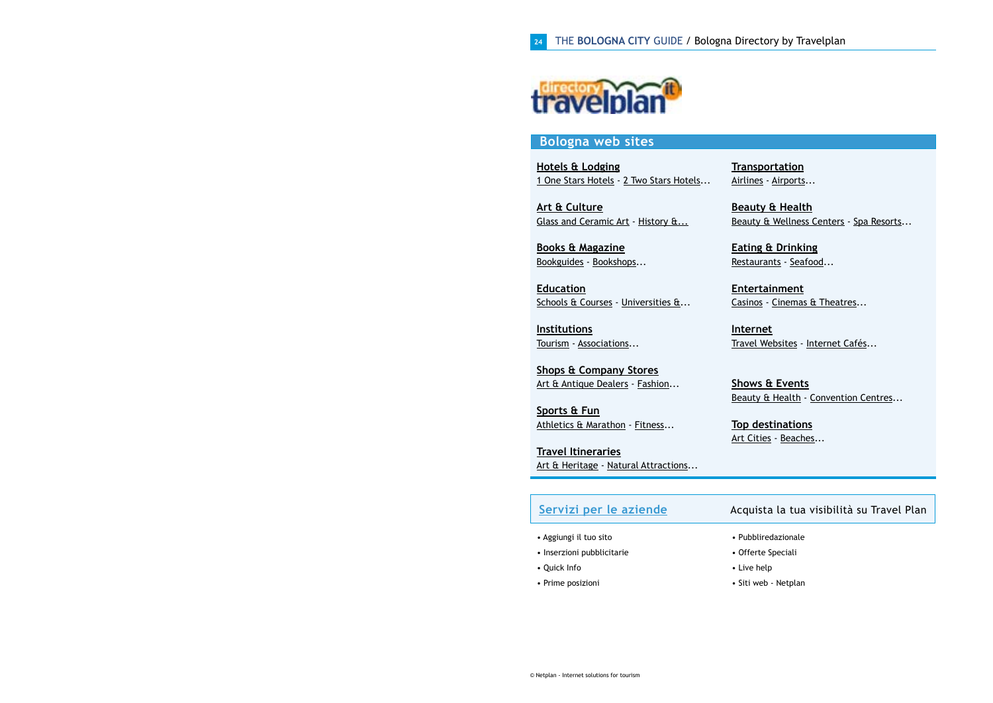

### **Bologna web sites**

**[Hotels & Lodging](http://www.travelplan.it/bologna_italy.htm?&prov=5-Bologna&Macro=1-Hotels+%26+Lodging&code=P&codep=M)** [1 One Stars Hotels](http://www.travelplan.it/bologna_italy.htm?&prov=5-Bologna&&Macro=1-Hotels+%26+Lodging&&cat=10-1+One+Star+Hotels&&code=PM&codep=C) - [2 Two Stars Hotels.](http://www.travelplan.it/bologna_italy.htm?&prov=5-Bologna&&Macro=1-Hotels+%26+Lodging&&cat=11-2+Two+Star+Hotels&&code=PM&codep=C)..

**[Art & Culture](http://www.travelplan.it/bologna_italy.htm?&prov=5-Bologna&Macro=2-Art+%26+Culture&code=P&codep=M)** [Glass and Ceramic Art](http://www.travelplan.it/bologna_italy.htm?&prov=5-Bologna&&Macro=2-Art+%26+Culture&&cat=25-Glass+and+Ceramic+Art&&code=PM&codep=C) - [History &...](http://www.travelplan.it/bologna_italy.htm?&prov=5-Bologna&&Macro=2-Art+%26+Culture&&cat=24-History+%26+Heritage&&code=PM&codep=C)

**[Books & Magazine](http://www.travelplan.it/bologna_italy.htm?&prov=5-Bologna&Macro=9-Books+%26+Magazines&code=P&codep=M)** [Bookguides](http://www.travelplan.it/bologna_italy.htm?&prov=5-Bologna&&Macro=9-Books+%26+Magazines&&cat=84-Bookguides&&code=PM&codep=C) - [Bookshops](http://www.travelplan.it/bologna_italy.htm?&prov=5-Bologna&&Macro=9-Books+%26+Magazines&&cat=83-Bookshops&&code=PM&codep=C)...

**[Education](http://www.travelplan.it/bologna_italy.htm?&prov=5-Bologna&Macro=4-Education&code=P&codep=M)** [Schools & Courses](http://www.travelplan.it/bologna_italy.htm?&prov=5-Bologna&&Macro=4-Education&&cat=53-Schools+%26+Courses&&code=PM&codep=C) - [Universities &.](http://www.travelplan.it/bologna_italy.htm?&prov=5-Bologna&&Macro=4-Education&&cat=32-Universities+%26+Institutes&&code=PM&codep=C)..

**[Institutions](http://www.travelplan.it/bologna_italy.htm?&prov=5-Bologna&Macro=7-Institutions&code=P&codep=M)** [Tourism](http://www.travelplan.it/bologna_italy.htm?&prov=5-Bologna&&Macro=7-Institutions&&cat=384-Tourism&&code=PM&codep=C) - [Associations.](http://www.travelplan.it/bologna_italy.htm?&prov=5-Bologna&&Macro=7-Institutions&&cat=71-Associations&&code=PM&codep=C)..

**[Shops & Company Stores](http://www.travelplan.it/bologna_italy.htm?&prov=5-Bologna&Macro=15-Shops+%26+Company+Stores&code=P&codep=M)** [Art & Antique Dealers](http://www.travelplan.it/bologna_italy.htm?&prov=5-Bologna&&Macro=15-Shops+%26+Company+Stores&&cat=412-Art+%26+Antique+Dealers&&code=PM&codep=C) - [Fashion..](http://www.travelplan.it/bologna_italy.htm?&prov=5-Bologna&&Macro=15-Shops+%26+Company+Stores&&cat=121-Fashion&&code=PM&codep=C).

**[Sports & Fun](http://www.travelplan.it/bologna_italy.htm?&prov=5-Bologna&Macro=12-Sports+%26+Fun&code=P&codep=M)** [Athletics & Marathon](http://www.travelplan.it/bologna_italy.htm?&prov=5-Bologna&&Macro=12-Sports+%26+Fun&&cat=97-Athletics+%26+Marathon&&code=PM&codep=C) - [Fitness.](http://www.travelplan.it/bologna_italy.htm?&prov=5-Bologna&&Macro=12-Sports+%26+Fun&&cat=99-Fitness&&code=PM&codep=C)..

**[Travel Itineraries](http://www.travelplan.it/bologna_italy.htm?&prov=5-Bologna&Macro=8-Travel+Itineraries&code=P&codep=M)** [Art & Heritage](http://www.travelplan.it/bologna_italy.htm?&prov=5-Bologna&&Macro=8-Travel+Itineraries&&cat=401-Art+%26+Heritage&&code=PM&codep=C) - [Natural Attractions](http://www.travelplan.it/bologna_italy.htm?&prov=5-Bologna&&Macro=8-Travel+Itineraries&&cat=399-Natural+Attractions&&code=PM&codep=C)... **[Transportation](http://www.travelplan.it/bologna_italy.htm?&prov=5-Bologna&Macro=14-Transportation&code=P&codep=M)** [Airlines](http://www.travelplan.it/bologna_italy.htm?&prov=5-Bologna&&Macro=14-Transportation&&cat=110-Airlines&&code=PM&codep=C) - [Airports.](http://www.travelplan.it/bologna_italy.htm?&prov=5-Bologna&&Macro=14-Transportation&&cat=109-Airports&&code=PM&codep=C)..

**[Beauty & Health](http://www.travelplan.it/bologna_italy.htm?&prov=5-Bologna&Macro=32-Beauty+%26+Health&code=P&codep=M)** [Beauty & Wellness Centers](http://www.travelplan.it/bologna_italy.htm?&prov=5-Bologna&&Macro=32-Beauty+%26+Health&&cat=402-Beauty+%26+Wellness+Centers&&code=PM&codep=C) - [Spa Resorts.](http://www.travelplan.it/bologna_italy.htm?&prov=5-Bologna&&Macro=32-Beauty+%26+Health&&cat=17-Spa+Resorts&&code=PM&codep=C)..

**[Eating & Drinking](http://www.travelplan.it/bologna_italy.htm?&prov=5-Bologna&Macro=11-Eating+%26+Drinking&code=P&codep=M)** [Restaurants](http://www.travelplan.it/bologna_italy.htm?&prov=5-Bologna&&Macro=11-Eating+%26+Drinking&&cat=406-Restaurants&&code=PM&codep=C) - [Seafood.](http://www.travelplan.it/bologna_italy.htm?&prov=5-Bologna&&Macro=11-Eating+%26+Drinking&&cat=93-Seafood&&code=PM&codep=C)..

**[Entertainment](http://www.travelplan.it/bologna_italy.htm?&prov=5-Bologna&Macro=5-Entertainment&code=P&codep=M)** [Casinos](http://www.travelplan.it/bologna_italy.htm?&prov=5-Bologna&&Macro=5-Entertainment&&cat=57-Casinos&&code=PM&codep=C) - [Cinemas & Theatres.](http://www.travelplan.it/bologna_italy.htm?&prov=5-Bologna&&Macro=5-Entertainment&&cat=58-Cinemas+%26+Theatres&&code=PM&codep=C)..

**[Internet](http://www.travelplan.it/bologna_italy.htm?&prov=5-Bologna&Macro=30-Internet&code=P&codep=M)** [Travel Websites](http://www.travelplan.it/bologna_italy.htm?&prov=5-Bologna&&Macro=30-Internet&&cat=443-Travel+Websites&&code=PM&codep=C) - [Internet Cafés.](http://www.travelplan.it/bologna_italy.htm?&prov=5-Bologna&&Macro=30-Internet&&cat=245-Internet+Caf%E9s&&code=PM&codep=C)..

**[Shows & Events](http://www.travelplan.it/bologna_italy.htm?&prov=5-Bologna&Macro=31-Shows+%26+Events&code=P&codep=M)** [Beauty & Health](http://www.travelplan.it/bologna_italy.htm?&prov=5-Bologna&&Macro=31-Shows+%26+Events&&cat=392-Beauty+%26+Health&&code=PM&codep=C) - [Convention Centres.](http://www.travelplan.it/bologna_italy.htm?&prov=5-Bologna&&Macro=31-Shows+%26+Events&&cat=55-Convention+Centres&&code=PM&codep=C)..

**[Top destinations](http://www.travelplan.it/bologna_italy.htm?&prov=5-Bologna&Macro=33-Top+destinations&code=P&codep=M)** [Art Cities](http://www.travelplan.it/bologna_italy.htm?&prov=5-Bologna&&Macro=33-Top+destinations&&cat=436-Art+Cities&&code=PM&codep=C) - [Beaches](http://www.travelplan.it/bologna_italy.htm?&prov=5-Bologna&&Macro=33-Top+destinations&&cat=441-Beaches&&code=PM&codep=C)...

| Servizi per le aziende     | Acquista la tua visibilità su Travel Plan |
|----------------------------|-------------------------------------------|
| • Aggiungi il tuo sito     | • Pubbliredazionale                       |
| • Inserzioni pubblicitarie | • Offerte Speciali                        |
| • Quick Info               | • Live help                               |
| • Prime posizioni          | • Siti web - Netplan                      |